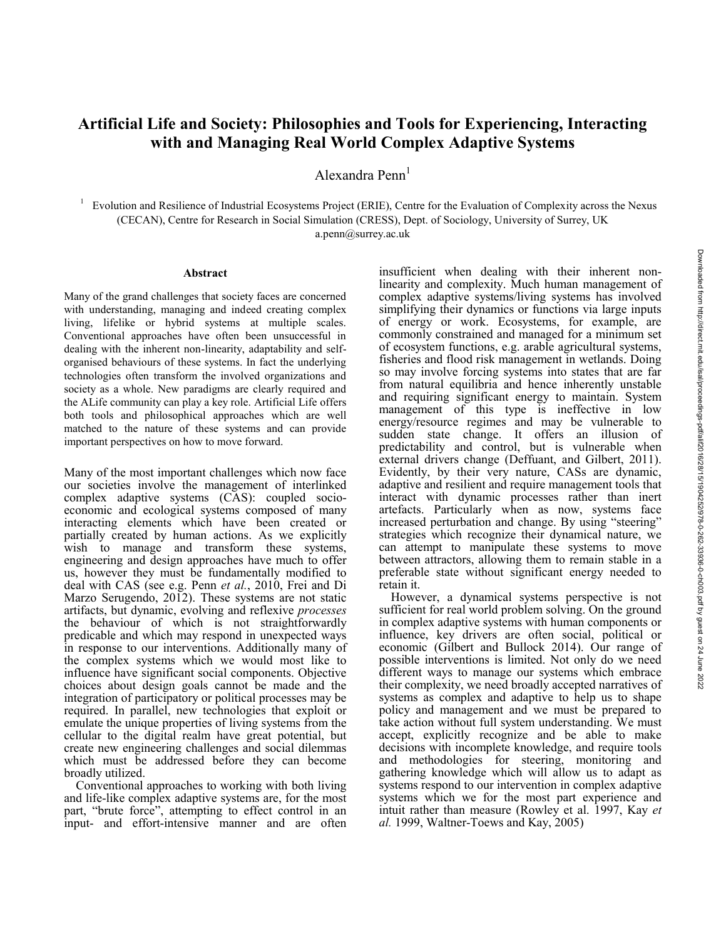## **Artificial Life and Society: Philosophies and Tools for Experiencing, Interacting with and Managing Real World Complex Adaptive Systems**

Alexandra Penn<sup>1</sup>

1 Evolution and Resilience of Industrial Ecosystems Project (ERIE), Centre for the Evaluation of Complexity across the Nexus (CECAN), Centre for Research in Social Simulation (CRESS), Dept. of Sociology, University of Surrey, UK a.penn@surrey.ac.uk

## **Abstract**

Many of the grand challenges that society faces are concerned with understanding, managing and indeed creating complex living, lifelike or hybrid systems at multiple scales. Conventional approaches have often been unsuccessful in dealing with the inherent non-linearity, adaptability and selforganised behaviours of these systems. In fact the underlying technologies often transform the involved organizations and society as a whole. New paradigms are clearly required and the ALife community can play a key role. Artificial Life offers both tools and philosophical approaches which are well matched to the nature of these systems and can provide important perspectives on how to move forward.

Many of the most important challenges which now face our societies involve the management of interlinked complex adaptive systems (CAS): coupled socioeconomic and ecological systems composed of many interacting elements which have been created or partially created by human actions. As we explicitly wish to manage and transform these systems, engineering and design approaches have much to offer us, however they must be fundamentally modified to deal with CAS (see e.g. Penn *et al.*, 2010, Frei and Di Marzo Serugendo, 2012). These systems are not static artifacts, but dynamic, evolving and reflexive *processes*  the behaviour of which is not straightforwardly predicable and which may respond in unexpected ways in response to our interventions. Additionally many of the complex systems which we would most like to influence have significant social components. Objective choices about design goals cannot be made and the integration of participatory or political processes may be required. In parallel, new technologies that exploit or emulate the unique properties of living systems from the cellular to the digital realm have great potential, but create new engineering challenges and social dilemmas which must be addressed before they can become broadly utilized.

Conventional approaches to working with both living and life-like complex adaptive systems are, for the most part, "brute force", attempting to effect control in an input- and effort-intensive manner and are often insufficient when dealing with their inherent nonlinearity and complexity. Much human management of complex adaptive systems/living systems has involved simplifying their dynamics or functions via large inputs of energy or work. Ecosystems, for example, are commonly constrained and managed for a minimum set of ecosystem functions, e.g. arable agricultural systems, fisheries and flood risk management in wetlands. Doing so may involve forcing systems into states that are far from natural equilibria and hence inherently unstable and requiring significant energy to maintain. System management of this type is ineffective in low energy/resource regimes and may be vulnerable to sudden state change. It offers an illusion of predictability and control, but is vulnerable when external drivers change (Deffuant, and Gilbert, 2011). Evidently, by their very nature, CASs are dynamic, adaptive and resilient and require management tools that interact with dynamic processes rather than inert artefacts. Particularly when as now, systems face increased perturbation and change. By using "steering" strategies which recognize their dynamical nature, we can attempt to manipulate these systems to move between attractors, allowing them to remain stable in a preferable state without significant energy needed to retain it.

However, a dynamical systems perspective is not sufficient for real world problem solving. On the ground in complex adaptive systems with human components or influence, key drivers are often social, political or economic (Gilbert and Bullock 2014). Our range of possible interventions is limited. Not only do we need different ways to manage our systems which embrace their complexity, we need broadly accepted narratives of systems as complex and adaptive to help us to shape policy and management and we must be prepared to take action without full system understanding. We must accept, explicitly recognize and be able to make decisions with incomplete knowledge, and require tools and methodologies for steering, monitoring and gathering knowledge which will allow us to adapt as systems respond to our intervention in complex adaptive systems which we for the most part experience and intuit rather than measure (Rowley et al. 1997, Kay *et al.* 1999, Waltner-Toews and Kay, 2005)